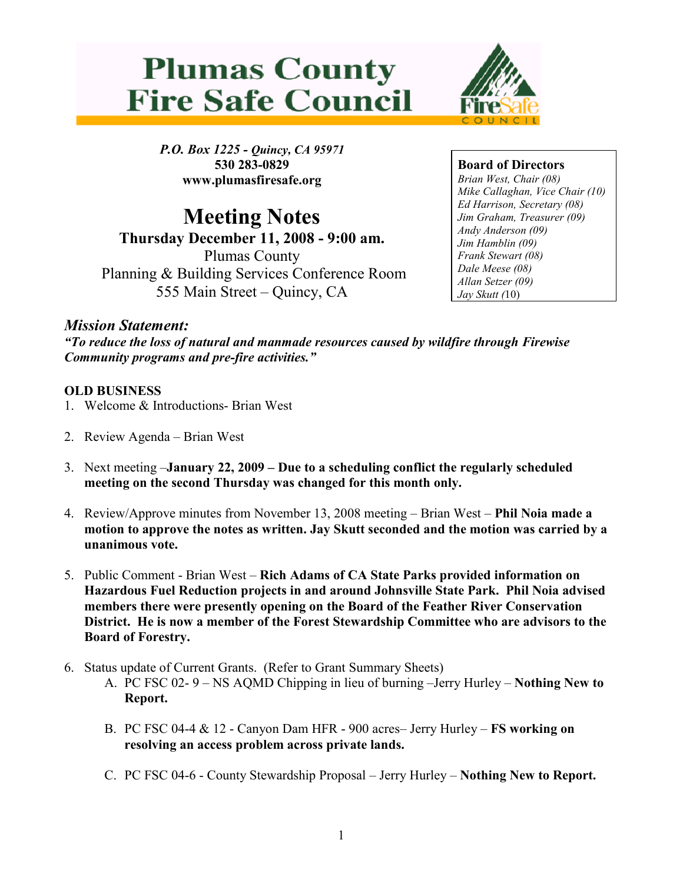



P.O. Box 1225 - Quincy, CA 95971 530 283-0829 www.plumasfiresafe.org

Meeting Notes Thursday December 11, 2008 - 9:00 am. Plumas County Planning & Building Services Conference Room 555 Main Street – Quincy, CA

Board of Directors Brian West, Chair (08) Mike Callaghan, Vice Chair (10) Ed Harrison, Secretary (08) Jim Graham, Treasurer (09) Andy Anderson (09) Jim Hamblin (09) Frank Stewart (08) Dale Meese (08) Allan Setzer (09) Jay Skutt (10)

## Mission Statement:

"To reduce the loss of natural and manmade resources caused by wildfire through Firewise Community programs and pre-fire activities."

## OLD BUSINESS

- 1. Welcome & Introductions- Brian West
- 2. Review Agenda Brian West
- 3. Next meeting –January 22, 2009 Due to a scheduling conflict the regularly scheduled meeting on the second Thursday was changed for this month only.
- 4. Review/Approve minutes from November 13, 2008 meeting Brian West Phil Noia made a motion to approve the notes as written. Jay Skutt seconded and the motion was carried by a unanimous vote.
- 5. Public Comment Brian West Rich Adams of CA State Parks provided information on Hazardous Fuel Reduction projects in and around Johnsville State Park. Phil Noia advised members there were presently opening on the Board of the Feather River Conservation District. He is now a member of the Forest Stewardship Committee who are advisors to the Board of Forestry.
- 6. Status update of Current Grants. (Refer to Grant Summary Sheets)
	- A. PC FSC 02- 9 NS AQMD Chipping in lieu of burning –Jerry Hurley Nothing New to Report.
	- B. PC FSC 04-4 & 12 Canyon Dam HFR 900 acres– Jerry Hurley FS working on resolving an access problem across private lands.
	- C. PC FSC 04-6 County Stewardship Proposal Jerry Hurley Nothing New to Report.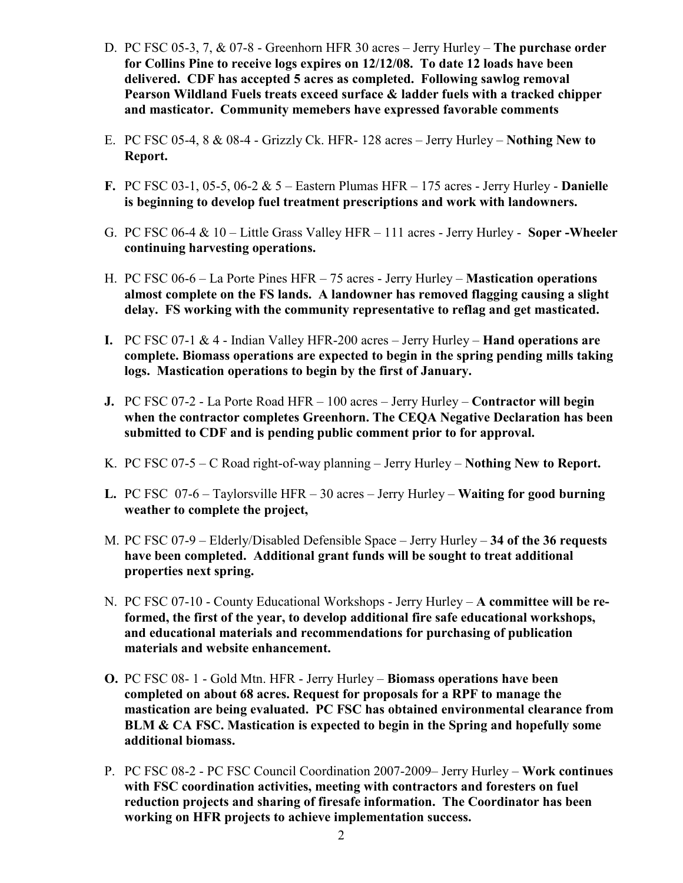- D. PC FSC 05-3, 7, & 07-8 Greenhorn HFR 30 acres Jerry Hurley The purchase order for Collins Pine to receive logs expires on 12/12/08. To date 12 loads have been delivered. CDF has accepted 5 acres as completed. Following sawlog removal Pearson Wildland Fuels treats exceed surface & ladder fuels with a tracked chipper and masticator. Community memebers have expressed favorable comments
- E. PC FSC 05-4, 8 & 08-4 Grizzly Ck. HFR- 128 acres Jerry Hurley Nothing New to Report.
- F. PC FSC 03-1, 05-5, 06-2  $& 5$  Eastern Plumas HFR 175 acres Jerry Hurley **Danielle** is beginning to develop fuel treatment prescriptions and work with landowners.
- G. PC FSC 06-4 & 10 Little Grass Valley HFR 111 acres Jerry Hurley Soper -Wheeler continuing harvesting operations.
- H. PC FSC 06-6 La Porte Pines HFR 75 acres Jerry Hurley Mastication operations almost complete on the FS lands. A landowner has removed flagging causing a slight delay. FS working with the community representative to reflag and get masticated.
- I. PC FSC 07-1  $&$  4 Indian Valley HFR-200 acres Jerry Hurley **Hand operations are** complete. Biomass operations are expected to begin in the spring pending mills taking logs. Mastication operations to begin by the first of January.
- J. PC FSC 07-2 La Porte Road HFR 100 acres Jerry Hurley Contractor will begin when the contractor completes Greenhorn. The CEQA Negative Declaration has been submitted to CDF and is pending public comment prior to for approval.
- K. PC FSC 07-5 C Road right-of-way planning Jerry Hurley Nothing New to Report.
- L. PC FSC 07-6 Taylorsville HFR 30 acres Jerry Hurley **Waiting for good burning** weather to complete the project,
- M. PC FSC 07-9 Elderly/Disabled Defensible Space Jerry Hurley 34 of the 36 requests have been completed. Additional grant funds will be sought to treat additional properties next spring.
- N. PC FSC 07-10 County Educational Workshops Jerry Hurley A committee will be reformed, the first of the year, to develop additional fire safe educational workshops, and educational materials and recommendations for purchasing of publication materials and website enhancement.
- O. PC FSC 08- 1 Gold Mtn. HFR Jerry Hurley Biomass operations have been completed on about 68 acres. Request for proposals for a RPF to manage the mastication are being evaluated. PC FSC has obtained environmental clearance from BLM & CA FSC. Mastication is expected to begin in the Spring and hopefully some additional biomass.
- P. PC FSC 08-2 PC FSC Council Coordination 2007-2009– Jerry Hurley Work continues with FSC coordination activities, meeting with contractors and foresters on fuel reduction projects and sharing of firesafe information. The Coordinator has been working on HFR projects to achieve implementation success.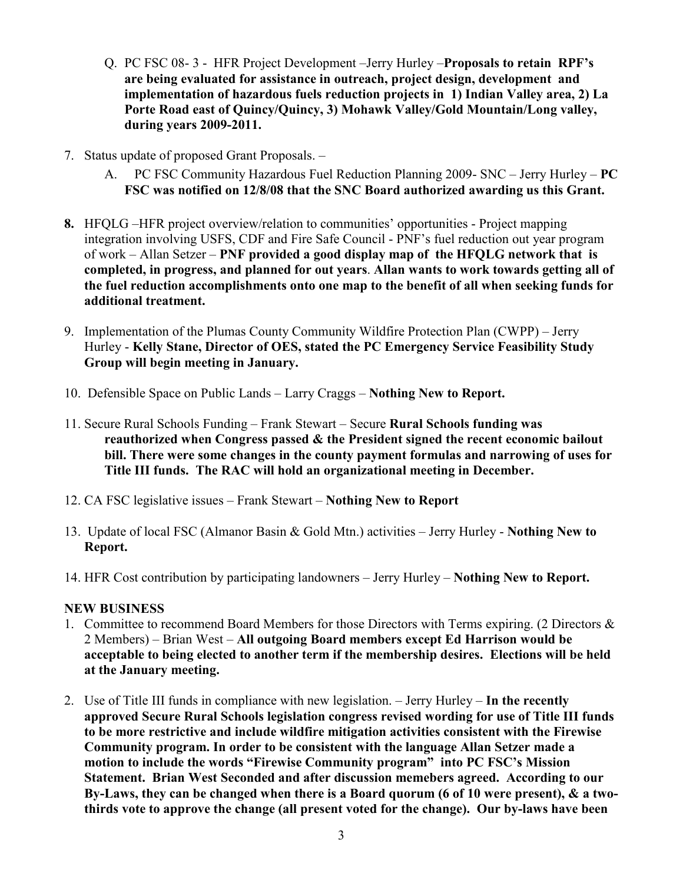- Q. PC FSC 08- 3 HFR Project Development –Jerry Hurley –Proposals to retain RPF's are being evaluated for assistance in outreach, project design, development and implementation of hazardous fuels reduction projects in 1) Indian Valley area, 2) La Porte Road east of Quincy/Quincy, 3) Mohawk Valley/Gold Mountain/Long valley, during years 2009-2011.
- 7. Status update of proposed Grant Proposals.
	- A. PC FSC Community Hazardous Fuel Reduction Planning 2009- SNC Jerry Hurley PC FSC was notified on 12/8/08 that the SNC Board authorized awarding us this Grant.
- 8. HFQLG –HFR project overview/relation to communities' opportunities Project mapping integration involving USFS, CDF and Fire Safe Council - PNF's fuel reduction out year program of work – Allan Setzer – PNF provided a good display map of the HFQLG network that is completed, in progress, and planned for out years. Allan wants to work towards getting all of the fuel reduction accomplishments onto one map to the benefit of all when seeking funds for additional treatment.
- 9. Implementation of the Plumas County Community Wildfire Protection Plan (CWPP) Jerry Hurley - Kelly Stane, Director of OES, stated the PC Emergency Service Feasibility Study Group will begin meeting in January.
- 10. Defensible Space on Public Lands Larry Craggs Nothing New to Report.
- 11. Secure Rural Schools Funding Frank Stewart Secure Rural Schools funding was reauthorized when Congress passed & the President signed the recent economic bailout bill. There were some changes in the county payment formulas and narrowing of uses for Title III funds. The RAC will hold an organizational meeting in December.
- 12. CA FSC legislative issues Frank Stewart Nothing New to Report
- 13. Update of local FSC (Almanor Basin & Gold Mtn.) activities Jerry Hurley Nothing New to Report.
- 14. HFR Cost contribution by participating landowners Jerry Hurley Nothing New to Report.

## NEW BUSINESS

- 1. Committee to recommend Board Members for those Directors with Terms expiring. (2 Directors & 2 Members) – Brian West – All outgoing Board members except Ed Harrison would be acceptable to being elected to another term if the membership desires. Elections will be held at the January meeting.
- 2. Use of Title III funds in compliance with new legislation.  $-$  Jerry Hurley In the recently approved Secure Rural Schools legislation congress revised wording for use of Title III funds to be more restrictive and include wildfire mitigation activities consistent with the Firewise Community program. In order to be consistent with the language Allan Setzer made a motion to include the words "Firewise Community program" into PC FSC's Mission Statement. Brian West Seconded and after discussion memebers agreed. According to our By-Laws, they can be changed when there is a Board quorum (6 of 10 were present), & a twothirds vote to approve the change (all present voted for the change). Our by-laws have been